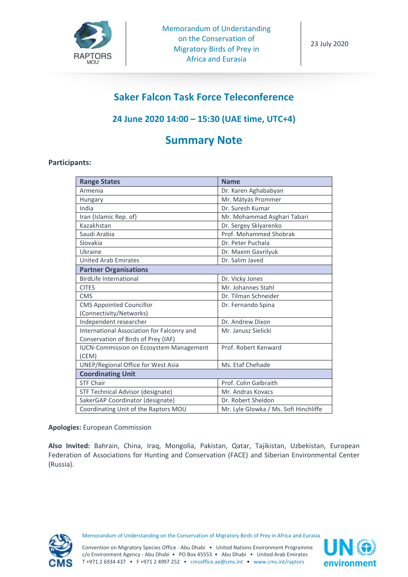

# **Saker Falcon Task Force Teleconference**

# **24 June 2020 14:00 – 15:30 (UAE time, UTC+4)**

# **Summary Note**

# **Participants:**

| <b>Range States</b>                            | <b>Name</b>                           |
|------------------------------------------------|---------------------------------------|
| Armenia                                        | Dr. Karen Aghababyan                  |
| Hungary                                        | Mr. Mátyás Prommer                    |
| India                                          | Dr. Suresh Kumar                      |
| Iran (Islamic Rep. of)                         | Mr. Mohammad Asghari Tabari           |
| Kazakhstan                                     | Dr. Sergey Sklyarenko                 |
| Saudi Arabia                                   | Prof. Mohammed Shobrak                |
| Slovakia                                       | Dr. Peter Puchala                     |
| Ukraine                                        | Dr. Maxim Gavrilyuk                   |
| <b>United Arab Emirates</b>                    | Dr. Salim Javed                       |
| <b>Partner Organisations</b>                   |                                       |
| <b>BirdLife International</b>                  | Dr. Vicky Jones                       |
| <b>CITES</b>                                   | Mr. Johannes Stahl                    |
| <b>CMS</b>                                     | Dr. Tilman Schneider                  |
| <b>CMS Appointed Councillor</b>                | Dr. Fernando Spina                    |
| (Connectivity/Networks)                        |                                       |
| Independent researcher                         | Dr. Andrew Dixon                      |
| International Association for Falconry and     | Mr. Janusz Sielicki                   |
| Conservation of Birds of Prey (IAF)            |                                       |
| <b>IUCN-Commission on Ecosystem Management</b> | Prof. Robert Kenward                  |
| (CEM)                                          |                                       |
| UNEP/Regional Office for West Asia             | Ms. Etaf Chehade                      |
| <b>Coordinating Unit</b>                       |                                       |
| <b>STF Chair</b>                               | Prof. Colin Galbraith                 |
| STF Technical Advisor (designate)              | Mr. Andras Kovacs                     |
| SakerGAP Coordinator (designate)               | Dr. Robert Sheldon                    |
| Coordinating Unit of the Raptors MOU           | Mr. Lyle Glowka / Ms. Sofi Hinchliffe |

**Apologies:** European Commission

**Also Invited:** Bahrain, China, Iraq, Mongolia, Pakistan, Qatar, Tajikistan, Uzbekistan, European Federation of Associations for Hunting and Conservation (FACE) and Siberian Environmental Center (Russia).



Memorandum of Understanding on the Conservation of Migratory Birds of Prey in Africa and Eurasia

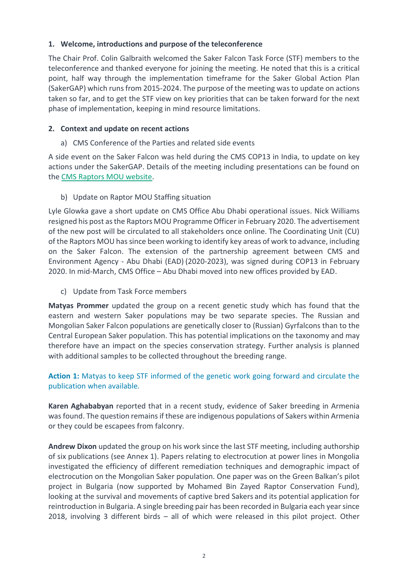# **1. Welcome, introductions and purpose of the teleconference**

The Chair Prof. Colin Galbraith welcomed the Saker Falcon Task Force (STF) members to the teleconference and thanked everyone for joining the meeting. He noted that this is a critical point, half way through the implementation timeframe for the Saker Global Action Plan (SakerGAP) which runs from 2015-2024. The purpose of the meeting was to update on actions taken so far, and to get the STF view on key priorities that can be taken forward for the next phase of implementation, keeping in mind resource limitations.

# **2. Context and update on recent actions**

a) CMS Conference of the Parties and related side events

A side event on the Saker Falcon was held during the CMS COP13 in India, to update on key actions under the SakerGAP. Details of the meeting including presentations can be found on the [CMS Raptors MOU website.](https://www.cms.int/raptors/en/meeting/cms-cop13-side-event-saker-falcon-global-action-plan)

b) Update on Raptor MOU Staffing situation

Lyle Glowka gave a short update on CMS Office Abu Dhabi operational issues. Nick Williams resigned his post as the Raptors MOU Programme Officer in February 2020. The advertisement of the new post will be circulated to all stakeholders once online. The Coordinating Unit (CU) of the Raptors MOU has since been working to identify key areas of work to advance, including on the Saker Falcon. The extension of the partnership agreement between CMS and Environment Agency - Abu Dhabi (EAD) (2020-2023), was signed during COP13 in February 2020. In mid-March, CMS Office – Abu Dhabi moved into new offices provided by EAD.

c) Update from Task Force members

**Matyas Prommer** updated the group on a recent genetic study which has found that the eastern and western Saker populations may be two separate species. The Russian and Mongolian Saker Falcon populations are genetically closer to (Russian) Gyrfalcons than to the Central European Saker population. This has potential implications on the taxonomy and may therefore have an impact on the species conservation strategy. Further analysis is planned with additional samples to be collected throughout the breeding range.

**Action 1:** Matyas to keep STF informed of the genetic work going forward and circulate the publication when available.

**Karen Aghababyan** reported that in a recent study, evidence of Saker breeding in Armenia wasfound. The question remains if these are indigenous populations of Sakers within Armenia or they could be escapees from falconry.

**Andrew Dixon** updated the group on his work since the last STF meeting, including authorship of six publications (see Annex 1). Papers relating to electrocution at power lines in Mongolia investigated the efficiency of different remediation techniques and demographic impact of electrocution on the Mongolian Saker population. One paper was on the Green Balkan's pilot project in Bulgaria (now supported by Mohamed Bin Zayed Raptor Conservation Fund), looking at the survival and movements of captive bred Sakers and its potential application for reintroduction in Bulgaria. A single breeding pair has been recorded in Bulgaria each year since 2018, involving 3 different birds – all of which were released in this pilot project. Other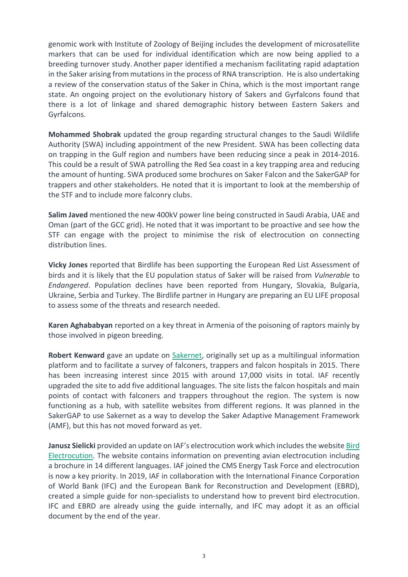genomic work with Institute of Zoology of Beijing includes the development of microsatellite markers that can be used for individual identification which are now being applied to a breeding turnover study. Another paper identified a mechanism facilitating rapid adaptation in the Saker arising from mutations in the process of RNA transcription. He is also undertaking a review of the conservation status of the Saker in China, which is the most important range state. An ongoing project on the evolutionary history of Sakers and Gyrfalcons found that there is a lot of linkage and shared demographic history between Eastern Sakers and Gyrfalcons.

**Mohammed Shobrak** updated the group regarding structural changes to the Saudi Wildlife Authority (SWA) including appointment of the new President. SWA has been collecting data on trapping in the Gulf region and numbers have been reducing since a peak in 2014-2016. This could be a result of SWA patrolling the Red Sea coast in a key trapping area and reducing the amount of hunting. SWA produced some brochures on Saker Falcon and the SakerGAP for trappers and other stakeholders. He noted that it is important to look at the membership of the STF and to include more falconry clubs.

**Salim Javed** mentioned the new 400kV power line being constructed in Saudi Arabia, UAE and Oman (part of the GCC grid). He noted that it was important to be proactive and see how the STF can engage with the project to minimise the risk of electrocution on connecting distribution lines.

**Vicky Jones** reported that Birdlife has been supporting the European Red List Assessment of birds and it is likely that the EU population status of Saker will be raised from *Vulnerable* to *Endangered*. Population declines have been reported from Hungary, Slovakia, Bulgaria, Ukraine, Serbia and Turkey. The Birdlife partner in Hungary are preparing an EU LIFE proposal to assess some of the threats and research needed.

**Karen Aghababyan** reported on a key threat in Armenia of the poisoning of raptors mainly by those involved in pigeon breeding.

**Robert Kenward** gave an update on [Sakernet,](http://www.sakernet.org/) originally set up as a multilingual information platform and to facilitate a survey of falconers, trappers and falcon hospitals in 2015. There has been increasing interest since 2015 with around 17,000 visits in total. IAF recently upgraded the site to add five additional languages. The site lists the falcon hospitals and main points of contact with falconers and trappers throughout the region. The system is now functioning as a hub, with satellite websites from different regions. It was planned in the SakerGAP to use Sakernet as a way to develop the Saker Adaptive Management Framework (AMF), but this has not moved forward as yet.

**Janusz Sielicki** provided an update on IAF's electrocution work which includes the website [Bird](https://birdelectrocution.org/)  [Electrocution.](https://birdelectrocution.org/) The website contains information on preventing avian electrocution including a brochure in 14 different languages. IAF joined the CMS Energy Task Force and electrocution is now a key priority. In 2019, IAF in collaboration with the International Finance Corporation of World Bank (IFC) and the European Bank for Reconstruction and Development (EBRD), created a simple guide for non-specialists to understand how to prevent bird electrocution. IFC and EBRD are already using the guide internally, and IFC may adopt it as an official document by the end of the year.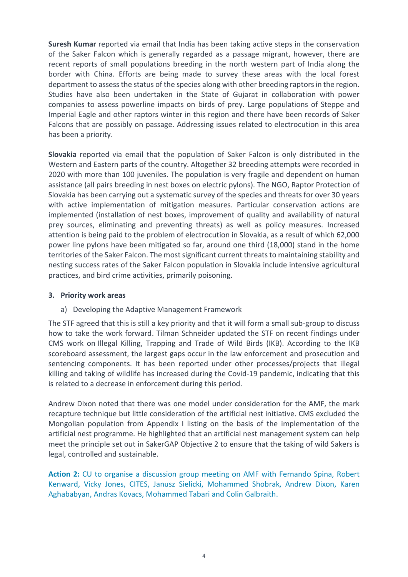**Suresh Kumar** reported via email that India has been taking active steps in the conservation of the Saker Falcon which is generally regarded as a passage migrant, however, there are recent reports of small populations breeding in the north western part of India along the border with China. Efforts are being made to survey these areas with the local forest department to assess the status of the species along with other breeding raptors in the region. Studies have also been undertaken in the State of Gujarat in collaboration with power companies to assess powerline impacts on birds of prey. Large populations of Steppe and Imperial Eagle and other raptors winter in this region and there have been records of Saker Falcons that are possibly on passage. Addressing issues related to electrocution in this area has been a priority.

**Slovakia** reported via email that the population of Saker Falcon is only distributed in the Western and Eastern parts of the country. Altogether 32 breeding attempts were recorded in 2020 with more than 100 juveniles. The population is very fragile and dependent on human assistance (all pairs breeding in nest boxes on electric pylons). The NGO, Raptor Protection of Slovakia has been carrying out a systematic survey of the species and threats for over 30 years with active implementation of mitigation measures. Particular conservation actions are implemented (installation of nest boxes, improvement of quality and availability of natural prey sources, eliminating and preventing threats) as well as policy measures. Increased attention is being paid to the problem of electrocution in Slovakia, as a result of which 62,000 power line pylons have been mitigated so far, around one third (18,000) stand in the home territories of the Saker Falcon. The most significant current threats to maintaining stability and nesting success rates of the Saker Falcon population in Slovakia include intensive agricultural practices, and bird crime activities, primarily poisoning.

#### **3. Priority work areas**

a) Developing the Adaptive Management Framework

The STF agreed that this is still a key priority and that it will form a small sub-group to discuss how to take the work forward. Tilman Schneider updated the STF on recent findings under CMS work on Illegal Killing, Trapping and Trade of Wild Birds (IKB). According to the IKB scoreboard assessment, the largest gaps occur in the law enforcement and prosecution and sentencing components. It has been reported under other processes/projects that illegal killing and taking of wildlife has increased during the Covid-19 pandemic, indicating that this is related to a decrease in enforcement during this period.

Andrew Dixon noted that there was one model under consideration for the AMF, the mark recapture technique but little consideration of the artificial nest initiative. CMS excluded the Mongolian population from Appendix I listing on the basis of the implementation of the artificial nest programme. He highlighted that an artificial nest management system can help meet the principle set out in SakerGAP Objective 2 to ensure that the taking of wild Sakers is legal, controlled and sustainable.

**Action 2:** CU to organise a discussion group meeting on AMF with Fernando Spina, Robert Kenward, Vicky Jones, CITES, Janusz Sielicki, Mohammed Shobrak, Andrew Dixon, Karen Aghababyan, Andras Kovacs, Mohammed Tabari and Colin Galbraith.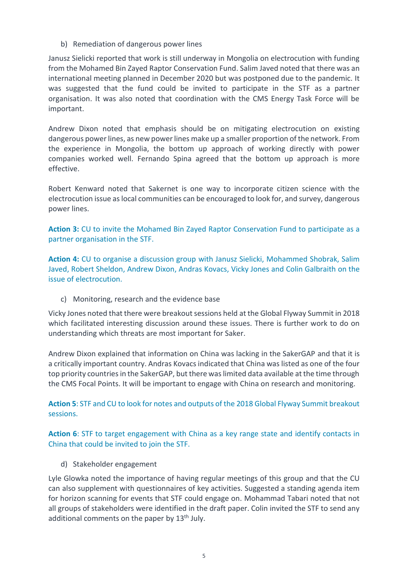b) Remediation of dangerous power lines

Janusz Sielicki reported that work is still underway in Mongolia on electrocution with funding from the Mohamed Bin Zayed Raptor Conservation Fund. Salim Javed noted that there was an international meeting planned in December 2020 but was postponed due to the pandemic. It was suggested that the fund could be invited to participate in the STF as a partner organisation. It was also noted that coordination with the CMS Energy Task Force will be important.

Andrew Dixon noted that emphasis should be on mitigating electrocution on existing dangerous power lines, as new power lines make up a smaller proportion of the network. From the experience in Mongolia, the bottom up approach of working directly with power companies worked well. Fernando Spina agreed that the bottom up approach is more effective.

Robert Kenward noted that Sakernet is one way to incorporate citizen science with the electrocution issue as local communities can be encouraged to look for, and survey, dangerous power lines.

**Action 3:** CU to invite the Mohamed Bin Zayed Raptor Conservation Fund to participate as a partner organisation in the STF.

**Action 4:** CU to organise a discussion group with Janusz Sielicki, Mohammed Shobrak, Salim Javed, Robert Sheldon, Andrew Dixon, Andras Kovacs, Vicky Jones and Colin Galbraith on the issue of electrocution.

c) Monitoring, research and the evidence base

Vicky Jones noted that there were breakout sessions held at the Global Flyway Summit in 2018 which facilitated interesting discussion around these issues. There is further work to do on understanding which threats are most important for Saker.

Andrew Dixon explained that information on China was lacking in the SakerGAP and that it is a critically important country. Andras Kovacs indicated that China was listed as one of the four top priority countries in the SakerGAP, but there was limited data available at the time through the CMS Focal Points. It will be important to engage with China on research and monitoring.

**Action 5**: STF and CU to look for notes and outputs of the 2018 Global Flyway Summit breakout sessions.

**Action 6**: STF to target engagement with China as a key range state and identify contacts in China that could be invited to join the STF.

d) Stakeholder engagement

Lyle Glowka noted the importance of having regular meetings of this group and that the CU can also supplement with questionnaires of key activities. Suggested a standing agenda item for horizon scanning for events that STF could engage on. Mohammad Tabari noted that not all groups of stakeholders were identified in the draft paper. Colin invited the STF to send any additional comments on the paper by 13<sup>th</sup> July.